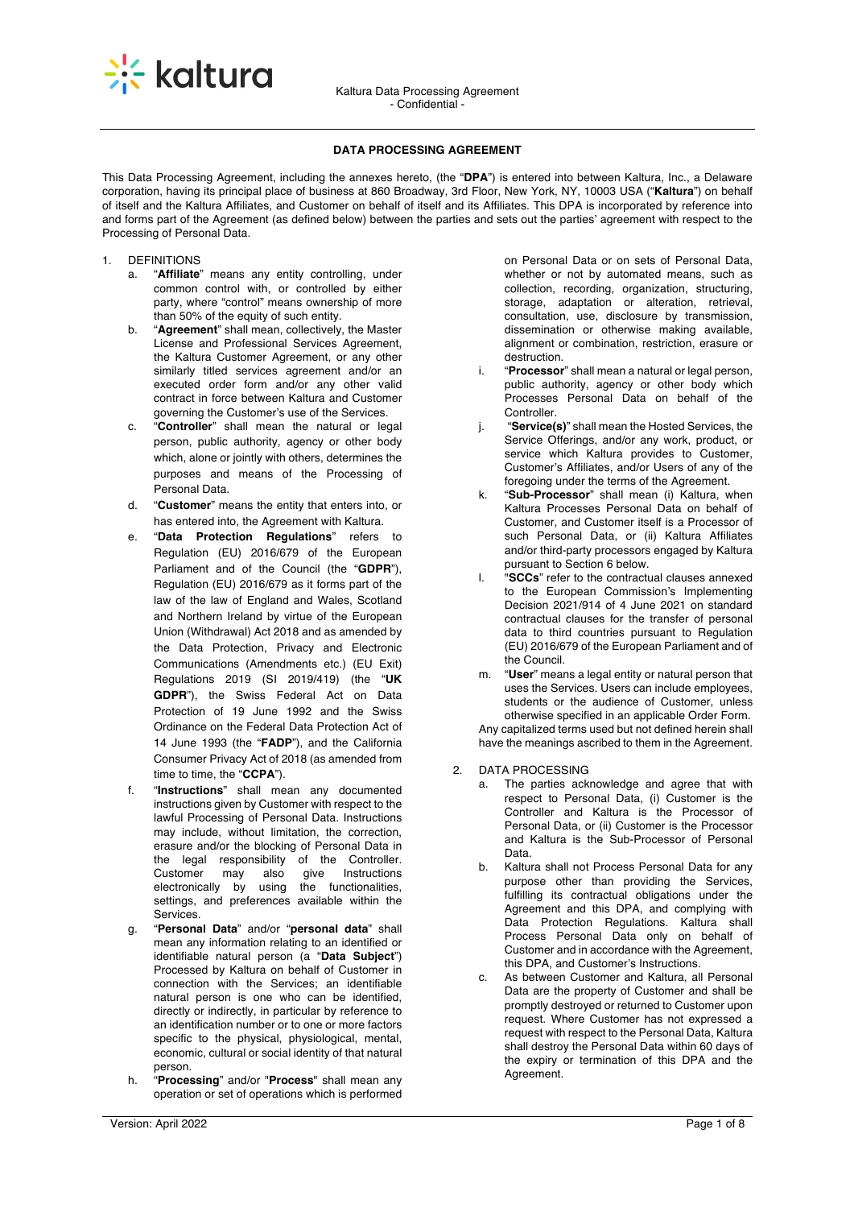

# **DATA PROCESSING AGREEMENT**

This Data Processing Agreement, including the annexes hereto, (the "**DPA**") is entered into between Kaltura, Inc., a Delaware corporation, having its principal place of business at 860 Broadway, 3rd Floor, New York, NY, 10003 USA ("**Kaltura**") on behalf of itself and the Kaltura Affiliates, and Customer on behalf of itself and its Affiliates. This DPA is incorporated by reference into and forms part of the Agreement (as defined below) between the parties and sets out the parties' agreement with respect to the Processing of Personal Data.

- 1. DEFINITIONS
	- a. "**Affiliate**" means any entity controlling, under common control with, or controlled by either party, where "control" means ownership of more than 50% of the equity of such entity.
	- b. "**Agreement**" shall mean, collectively, the Master License and Professional Services Agreement, the Kaltura Customer Agreement, or any other similarly titled services agreement and/or an executed order form and/or any other valid contract in force between Kaltura and Customer governing the Customer's use of the Services.
	- c. "**Controller**" shall mean the natural or legal person, public authority, agency or other body which, alone or jointly with others, determines the purposes and means of the Processing of Personal Data.
	- d. "**Customer**" means the entity that enters into, or has entered into, the Agreement with Kaltura.
	- e. "**Data Protection Regulations**" refers to Regulation (EU) 2016/679 of the European Parliament and of the Council (the "**GDPR**"), Regulation (EU) 2016/679 as it forms part of the law of the law of England and Wales, Scotland and Northern Ireland by virtue of the European Union (Withdrawal) Act 2018 and as amended by the Data Protection, Privacy and Electronic Communications (Amendments etc.) (EU Exit) Regulations 2019 (SI 2019/419) (the "**UK GDPR**"), the Swiss Federal Act on Data Protection of 19 June 1992 and the Swiss Ordinance on the Federal Data Protection Act of 14 June 1993 (the "**FADP**"), and the California Consumer Privacy Act of 2018 (as amended from time to time, the "**CCPA**").
	- f. "**Instructions**" shall mean any documented instructions given by Customer with respect to the lawful Processing of Personal Data. Instructions may include, without limitation, the correction, erasure and/or the blocking of Personal Data in the legal responsibility of the Controller.<br>Customer may also give Instructions Customer may also give Instructions electronically by using the functionalities, settings, and preferences available within the Services.
	- g. "**Personal Data**" and/or "**personal data**" shall mean any information relating to an identified or identifiable natural person (a "**Data Subject**") Processed by Kaltura on behalf of Customer in connection with the Services; an identifiable natural person is one who can be identified, directly or indirectly, in particular by reference to an identification number or to one or more factors specific to the physical, physiological, mental, economic, cultural or social identity of that natural person.
	- h. "**Processing**" and/or "**Process**" shall mean any operation or set of operations which is performed

on Personal Data or on sets of Personal Data, whether or not by automated means, such as collection, recording, organization, structuring, storage, adaptation or alteration, retrieval, consultation, use, disclosure by transmission, dissemination or otherwise making available, alignment or combination, restriction, erasure or destruction.

- i. "**Processor**" shall mean a natural or legal person, public authority, agency or other body which Processes Personal Data on behalf of the **Controller**
- j. "**Service(s)**" shall mean the Hosted Services, the Service Offerings, and/or any work, product, or service which Kaltura provides to Customer, Customer's Affiliates, and/or Users of any of the foregoing under the terms of the Agreement.
- "Sub-Processor" shall mean (i) Kaltura, when Kaltura Processes Personal Data on behalf of Customer, and Customer itself is a Processor of such Personal Data, or (ii) Kaltura Affiliates and/or third-party processors engaged by Kaltura pursuant to Section 6 below.
- l. "**SCCs**" refer to the contractual clauses annexed to the European Commission's Implementing Decision 2021/914 of 4 June 2021 on standard contractual clauses for the transfer of personal data to third countries pursuant to Regulation (EU) 2016/679 of the European Parliament and of the Council.
- m. "**User**" means a legal entity or natural person that uses the Services. Users can include employees, students or the audience of Customer, unless otherwise specified in an applicable Order Form. Any capitalized terms used but not defined herein shall have the meanings ascribed to them in the Agreement.
- 2. DATA PROCESSING
	- The parties acknowledge and agree that with respect to Personal Data, (i) Customer is the Controller and Kaltura is the Processor of Personal Data, or (ii) Customer is the Processor and Kaltura is the Sub-Processor of Personal Data.
	- b. Kaltura shall not Process Personal Data for any purpose other than providing the Services, fulfilling its contractual obligations under the Agreement and this DPA, and complying with Data Protection Regulations. Kaltura shall Process Personal Data only on behalf of Customer and in accordance with the Agreement, this DPA, and Customer's Instructions.
	- c. As between Customer and Kaltura, all Personal Data are the property of Customer and shall be promptly destroyed or returned to Customer upon request. Where Customer has not expressed a request with respect to the Personal Data, Kaltura shall destroy the Personal Data within 60 days of the expiry or termination of this DPA and the Agreement.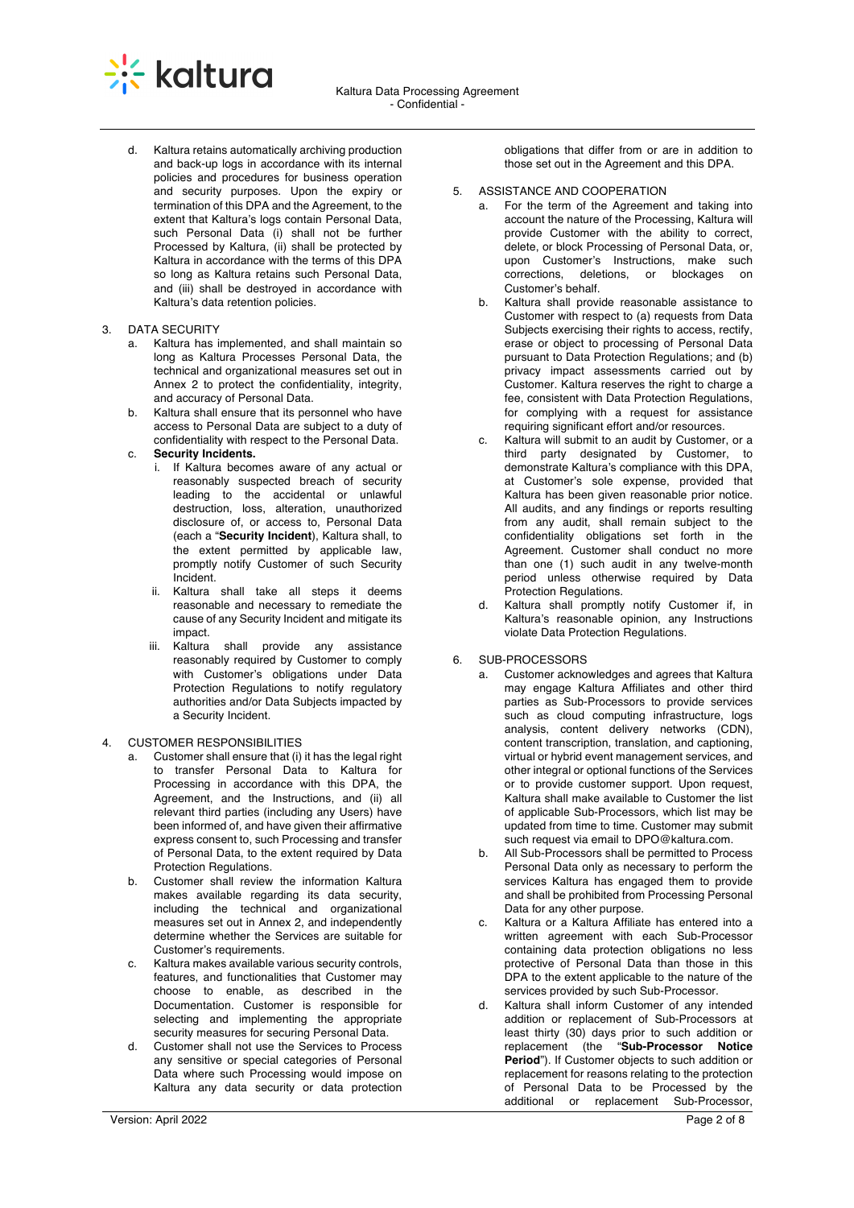

d. Kaltura retains automatically archiving production and back-up logs in accordance with its internal policies and procedures for business operation and security purposes. Upon the expiry or termination of this DPA and the Agreement, to the extent that Kaltura's logs contain Personal Data. such Personal Data (i) shall not be further Processed by Kaltura, (ii) shall be protected by Kaltura in accordance with the terms of this DPA so long as Kaltura retains such Personal Data, and (iii) shall be destroyed in accordance with Kaltura's data retention policies.

## 3. DATA SECURITY

- a. Kaltura has implemented, and shall maintain so long as Kaltura Processes Personal Data, the technical and organizational measures set out in Annex 2 to protect the confidentiality, integrity, and accuracy of Personal Data.
- b. Kaltura shall ensure that its personnel who have access to Personal Data are subject to a duty of confidentiality with respect to the Personal Data.

# c. **Security Incidents.**

- i. If Kaltura becomes aware of any actual or reasonably suspected breach of security leading to the accidental or unlawful destruction, loss, alteration, unauthorized disclosure of, or access to, Personal Data (each a "**Security Incident**), Kaltura shall, to the extent permitted by applicable law, promptly notify Customer of such Security Incident.
- ii. Kaltura shall take all steps it deems reasonable and necessary to remediate the cause of any Security Incident and mitigate its impact.
- iii. Kaltura shall provide any assistance reasonably required by Customer to comply with Customer's obligations under Data Protection Regulations to notify regulatory authorities and/or Data Subjects impacted by a Security Incident.

# 4. CUSTOMER RESPONSIBILITIES

- a. Customer shall ensure that (i) it has the legal right to transfer Personal Data to Kaltura for Processing in accordance with this DPA, the Agreement, and the Instructions, and (ii) all relevant third parties (including any Users) have been informed of, and have given their affirmative express consent to, such Processing and transfer of Personal Data, to the extent required by Data Protection Regulations.
- b. Customer shall review the information Kaltura makes available regarding its data security, including the technical and organizational measures set out in Annex 2, and independently determine whether the Services are suitable for Customer's requirements.
- c. Kaltura makes available various security controls, features, and functionalities that Customer may choose to enable, as described in the Documentation. Customer is responsible for selecting and implementing the appropriate security measures for securing Personal Data.
- d. Customer shall not use the Services to Process any sensitive or special categories of Personal Data where such Processing would impose on Kaltura any data security or data protection

obligations that differ from or are in addition to those set out in the Agreement and this DPA.

- 5. ASSISTANCE AND COOPERATION
	- a. For the term of the Agreement and taking into account the nature of the Processing, Kaltura will provide Customer with the ability to correct, delete, or block Processing of Personal Data, or, upon Customer's Instructions, make such corrections, deletions, or blockages on Customer's behalf.
	- b. Kaltura shall provide reasonable assistance to Customer with respect to (a) requests from Data Subjects exercising their rights to access, rectify, erase or object to processing of Personal Data pursuant to Data Protection Regulations; and (b) privacy impact assessments carried out by Customer. Kaltura reserves the right to charge a fee, consistent with Data Protection Regulations, for complying with a request for assistance requiring significant effort and/or resources.
	- c. Kaltura will submit to an audit by Customer, or a third party designated by Customer, to demonstrate Kaltura's compliance with this DPA, at Customer's sole expense, provided that Kaltura has been given reasonable prior notice. All audits, and any findings or reports resulting from any audit, shall remain subject to the confidentiality obligations set forth in the Agreement. Customer shall conduct no more than one (1) such audit in any twelve-month period unless otherwise required by Data Protection Regulations.
	- Kaltura shall promptly notify Customer if, in Kaltura's reasonable opinion, any Instructions violate Data Protection Regulations.

# 6. SUB-PROCESSORS

- a. Customer acknowledges and agrees that Kaltura may engage Kaltura Affiliates and other third parties as Sub-Processors to provide services such as cloud computing infrastructure, logs analysis, content delivery networks (CDN), content transcription, translation, and captioning, virtual or hybrid event management services, and other integral or optional functions of the Services or to provide customer support. Upon request, Kaltura shall make available to Customer the list of applicable Sub-Processors, which list may be updated from time to time. Customer may submit such request via email to DPO@kaltura.com.
- b. All Sub-Processors shall be permitted to Process Personal Data only as necessary to perform the services Kaltura has engaged them to provide and shall be prohibited from Processing Personal Data for any other purpose.
- c. Kaltura or a Kaltura Affiliate has entered into a written agreement with each Sub-Processor containing data protection obligations no less protective of Personal Data than those in this DPA to the extent applicable to the nature of the services provided by such Sub-Processor.
- d. Kaltura shall inform Customer of any intended addition or replacement of Sub-Processors at least thirty (30) days prior to such addition or replacement (the "**Sub-Processor Notice Period**"). If Customer objects to such addition or replacement for reasons relating to the protection of Personal Data to be Processed by the additional or replacement Sub-Processor,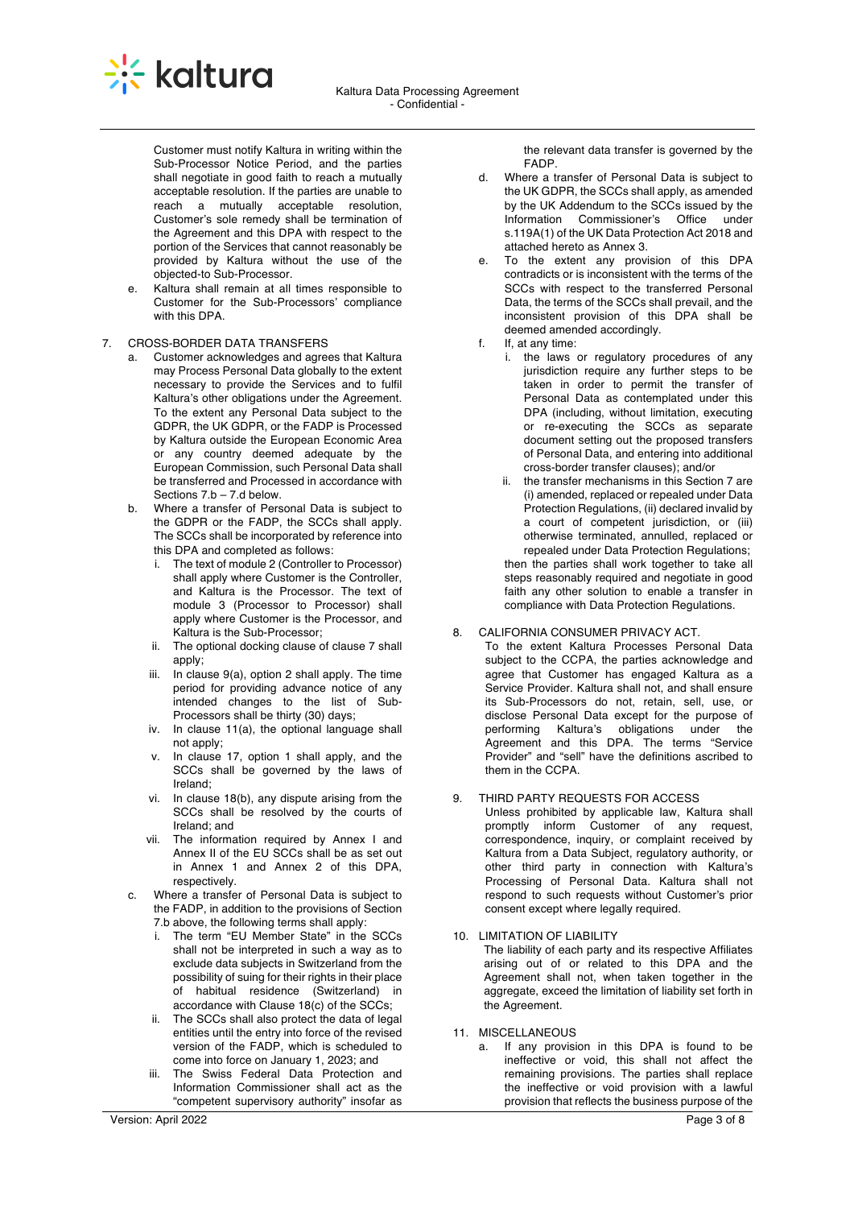

Customer must notify Kaltura in writing within the Sub-Processor Notice Period, and the parties shall negotiate in good faith to reach a mutually acceptable resolution. If the parties are unable to reach a mutually acceptable resolution, Customer's sole remedy shall be termination of the Agreement and this DPA with respect to the portion of the Services that cannot reasonably be provided by Kaltura without the use of the objected-to Sub-Processor.

e. Kaltura shall remain at all times responsible to Customer for the Sub-Processors' compliance with this DPA

## 7. CROSS-BORDER DATA TRANSFERS

- a. Customer acknowledges and agrees that Kaltura may Process Personal Data globally to the extent necessary to provide the Services and to fulfil Kaltura's other obligations under the Agreement. To the extent any Personal Data subject to the GDPR, the UK GDPR, or the FADP is Processed by Kaltura outside the European Economic Area or any country deemed adequate by the European Commission, such Personal Data shall be transferred and Processed in accordance with Sections 7.b – 7.d below.
- b. Where a transfer of Personal Data is subject to the GDPR or the FADP, the SCCs shall apply. The SCCs shall be incorporated by reference into this DPA and completed as follows:
	- i. The text of module 2 (Controller to Processor) shall apply where Customer is the Controller, and Kaltura is the Processor. The text of module 3 (Processor to Processor) shall apply where Customer is the Processor, and Kaltura is the Sub-Processor;
	- ii. The optional docking clause of clause 7 shall apply;
	- iii. In clause 9(a), option 2 shall apply. The time period for providing advance notice of any intended changes to the list of Sub-Processors shall be thirty (30) days;
	- iv. In clause 11(a), the optional language shall not apply;
	- v. In clause 17, option 1 shall apply, and the SCCs shall be governed by the laws of Ireland;
	- vi. In clause 18(b), any dispute arising from the SCCs shall be resolved by the courts of Ireland; and
	- vii. The information required by Annex I and Annex II of the EU SCCs shall be as set out in Annex 1 and Annex 2 of this DPA, respectively.
- c. Where a transfer of Personal Data is subject to the FADP, in addition to the provisions of Section 7.b above, the following terms shall apply:
	- i. The term "EU Member State" in the SCCs shall not be interpreted in such a way as to exclude data subjects in Switzerland from the possibility of suing for their rights in their place of habitual residence (Switzerland) in accordance with Clause 18(c) of the SCCs;
	- ii. The SCCs shall also protect the data of legal entities until the entry into force of the revised version of the FADP, which is scheduled to come into force on January 1, 2023; and
	- iii. The Swiss Federal Data Protection and Information Commissioner shall act as the "competent supervisory authority" insofar as

the relevant data transfer is governed by the FADP.

- d. Where a transfer of Personal Data is subject to the UK GDPR, the SCCs shall apply, as amended by the UK Addendum to the SCCs issued by the<br>Information Commissioner's Office under Information Commissioner's Office s.119A(1) of the UK Data Protection Act 2018 and attached hereto as Annex 3.
- e. To the extent any provision of this DPA contradicts or is inconsistent with the terms of the SCCs with respect to the transferred Personal Data, the terms of the SCCs shall prevail, and the inconsistent provision of this DPA shall be deemed amended accordingly.
- f If at any time:
	- i. the laws or regulatory procedures of any jurisdiction require any further steps to be taken in order to permit the transfer of Personal Data as contemplated under this DPA (including, without limitation, executing or re-executing the SCCs as separate document setting out the proposed transfers of Personal Data, and entering into additional cross-border transfer clauses); and/or
	- ii. the transfer mechanisms in this Section 7 are (i) amended, replaced or repealed under Data Protection Regulations, (ii) declared invalid by a court of competent jurisdiction, or (iii) otherwise terminated, annulled, replaced or repealed under Data Protection Regulations; then the parties shall work together to take all steps reasonably required and negotiate in good faith any other solution to enable a transfer in compliance with Data Protection Regulations.

# 8. CALIFORNIA CONSUMER PRIVACY ACT.

To the extent Kaltura Processes Personal Data subject to the CCPA, the parties acknowledge and agree that Customer has engaged Kaltura as a Service Provider. Kaltura shall not, and shall ensure its Sub-Processors do not, retain, sell, use, or disclose Personal Data except for the purpose of performing Kaltura's obligations under the Agreement and this DPA. The terms "Service Provider" and "sell" have the definitions ascribed to them in the CCPA.

# 9. THIRD PARTY REQUESTS FOR ACCESS

Unless prohibited by applicable law, Kaltura shall promptly inform Customer of any request, correspondence, inquiry, or complaint received by Kaltura from a Data Subject, regulatory authority, or other third party in connection with Kaltura's Processing of Personal Data. Kaltura shall not respond to such requests without Customer's prior consent except where legally required.

# 10. LIMITATION OF LIABILITY

The liability of each party and its respective Affiliates arising out of or related to this DPA and the Agreement shall not, when taken together in the aggregate, exceed the limitation of liability set forth in the Agreement.

- 11. MISCELLANEOUS
	- a. If any provision in this DPA is found to be ineffective or void, this shall not affect the remaining provisions. The parties shall replace the ineffective or void provision with a lawful provision that reflects the business purpose of the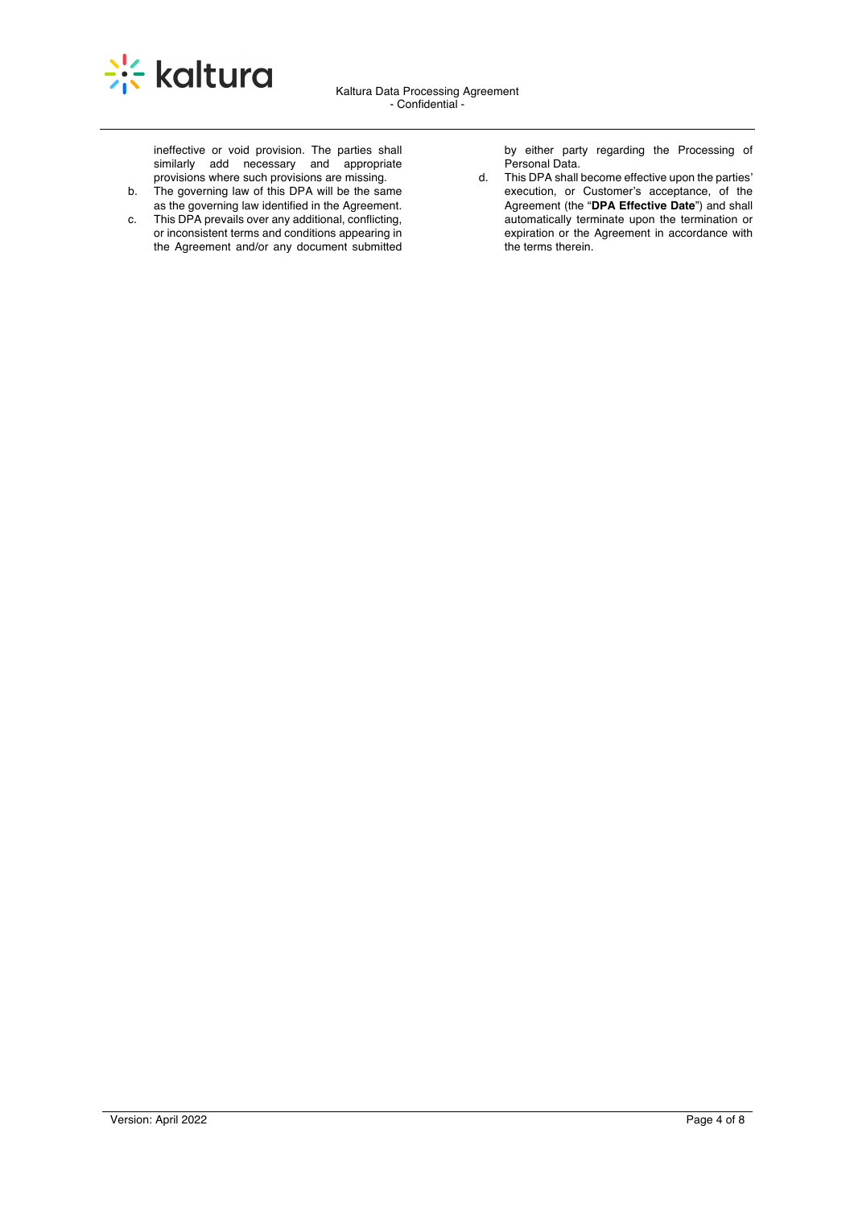

ineffective or void provision. The parties shall similarly add necessary and appropriate provisions where such provisions are missing.

- b. The governing law of this DPA will be the same as the governing law identified in the Agreement.
- c. This DPA prevails over any additional, conflicting, or inconsistent terms and conditions appearing in the Agreement and/or any document submitted

by either party regarding the Processing of Personal Data.

d. This DPA shall become effective upon the parties' execution, or Customer's acceptance, of the Agreement (the "**DPA Effective Date**") and shall automatically terminate upon the termination or expiration or the Agreement in accordance with the terms therein.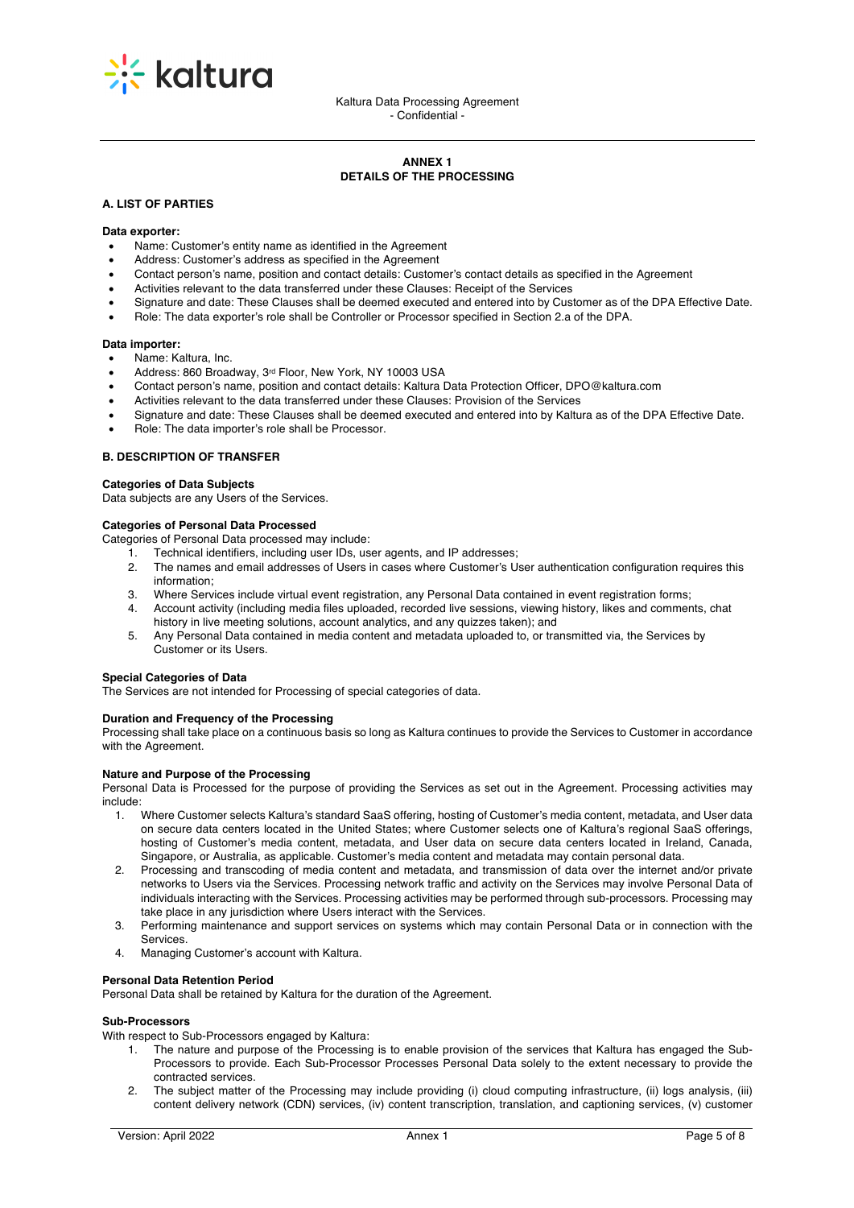

# **ANNEX 1 DETAILS OF THE PROCESSING**

## **A. LIST OF PARTIES**

#### **Data exporter:**

- Name: Customer's entity name as identified in the Agreement
- Address: Customer's address as specified in the Agreement
- Contact person's name, position and contact details: Customer's contact details as specified in the Agreement
- Activities relevant to the data transferred under these Clauses: Receipt of the Services
- Signature and date: These Clauses shall be deemed executed and entered into by Customer as of the DPA Effective Date.
- Role: The data exporter's role shall be Controller or Processor specified in Section 2.a of the DPA.

#### **Data importer:**

- Name: Kaltura, Inc.
- Address: 860 Broadway, 3rd Floor, New York, NY 10003 USA
- Contact person's name, position and contact details: Kaltura Data Protection Officer, DPO@kaltura.com
- Activities relevant to the data transferred under these Clauses: Provision of the Services
- Signature and date: These Clauses shall be deemed executed and entered into by Kaltura as of the DPA Effective Date.
- Role: The data importer's role shall be Processor.

## **B. DESCRIPTION OF TRANSFER**

#### **Categories of Data Subjects**

Data subjects are any Users of the Services.

#### **Categories of Personal Data Processed**

Categories of Personal Data processed may include:

- 1. Technical identifiers, including user IDs, user agents, and IP addresses;
- 2. The names and email addresses of Users in cases where Customer's User authentication configuration requires this information;
- 3. Where Services include virtual event registration, any Personal Data contained in event registration forms;
- 4. Account activity (including media files uploaded, recorded live sessions, viewing history, likes and comments, chat history in live meeting solutions, account analytics, and any quizzes taken); and
- 5. Any Personal Data contained in media content and metadata uploaded to, or transmitted via, the Services by Customer or its Users.

## **Special Categories of Data**

The Services are not intended for Processing of special categories of data.

#### **Duration and Frequency of the Processing**

Processing shall take place on a continuous basis so long as Kaltura continues to provide the Services to Customer in accordance with the Agreement.

## **Nature and Purpose of the Processing**

Personal Data is Processed for the purpose of providing the Services as set out in the Agreement. Processing activities may include:

- 1. Where Customer selects Kaltura's standard SaaS offering, hosting of Customer's media content, metadata, and User data on secure data centers located in the United States; where Customer selects one of Kaltura's regional SaaS offerings, hosting of Customer's media content, metadata, and User data on secure data centers located in Ireland, Canada, Singapore, or Australia, as applicable. Customer's media content and metadata may contain personal data.
- 2. Processing and transcoding of media content and metadata, and transmission of data over the internet and/or private networks to Users via the Services. Processing network traffic and activity on the Services may involve Personal Data of individuals interacting with the Services. Processing activities may be performed through sub-processors. Processing may take place in any jurisdiction where Users interact with the Services.
- 3. Performing maintenance and support services on systems which may contain Personal Data or in connection with the **Services**
- 4. Managing Customer's account with Kaltura.

## **Personal Data Retention Period**

Personal Data shall be retained by Kaltura for the duration of the Agreement.

## **Sub-Processors**

With respect to Sub-Processors engaged by Kaltura:

- 1. The nature and purpose of the Processing is to enable provision of the services that Kaltura has engaged the Sub-Processors to provide. Each Sub-Processor Processes Personal Data solely to the extent necessary to provide the contracted services.
- 2. The subject matter of the Processing may include providing (i) cloud computing infrastructure, (ii) logs analysis, (iii) content delivery network (CDN) services, (iv) content transcription, translation, and captioning services, (v) customer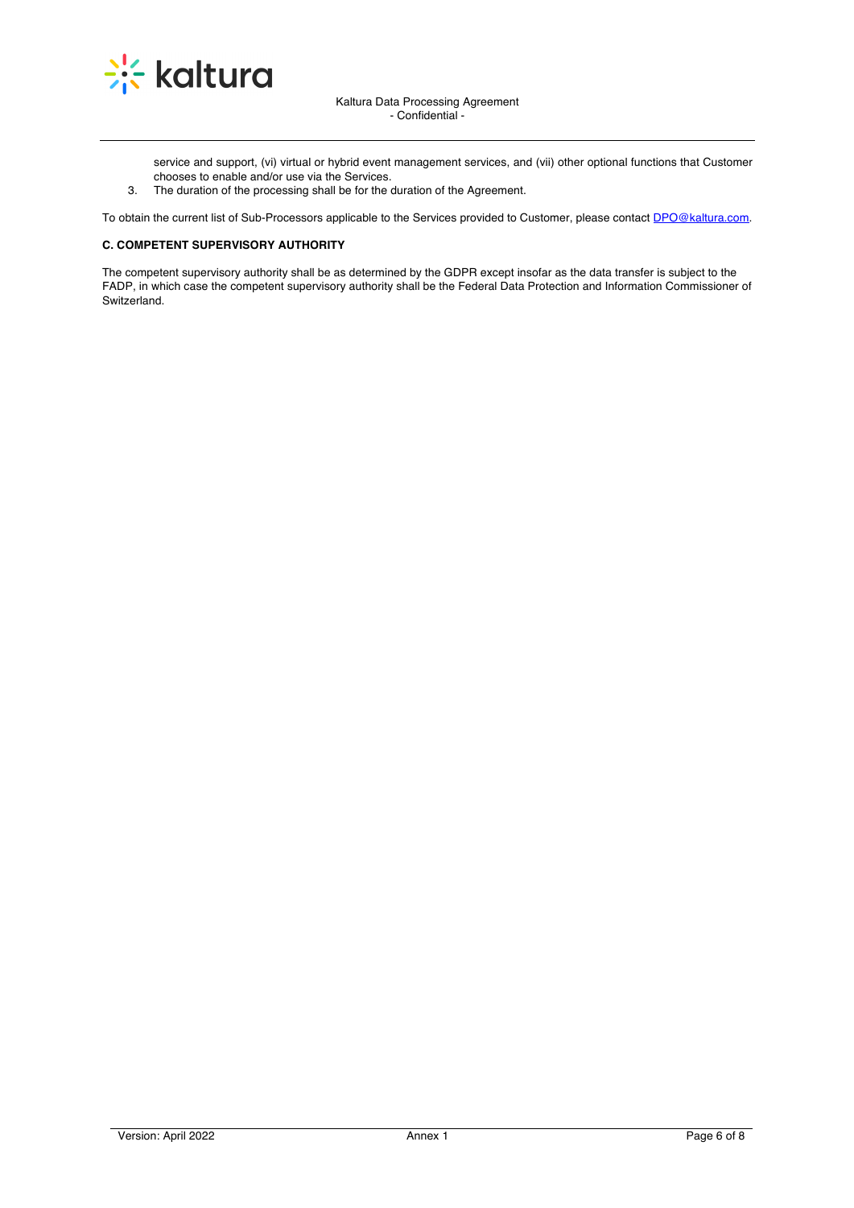

service and support, (vi) virtual or hybrid event management services, and (vii) other optional functions that Customer chooses to enable and/or use via the Services.

3. The duration of the processing shall be for the duration of the Agreement.

To obtain the current list of Sub-Processors applicable to the Services provided to Customer, please contact DPO@kaltura.com.

# **C. COMPETENT SUPERVISORY AUTHORITY**

The competent supervisory authority shall be as determined by the GDPR except insofar as the data transfer is subject to the FADP, in which case the competent supervisory authority shall be the Federal Data Protection and Information Commissioner of Switzerland.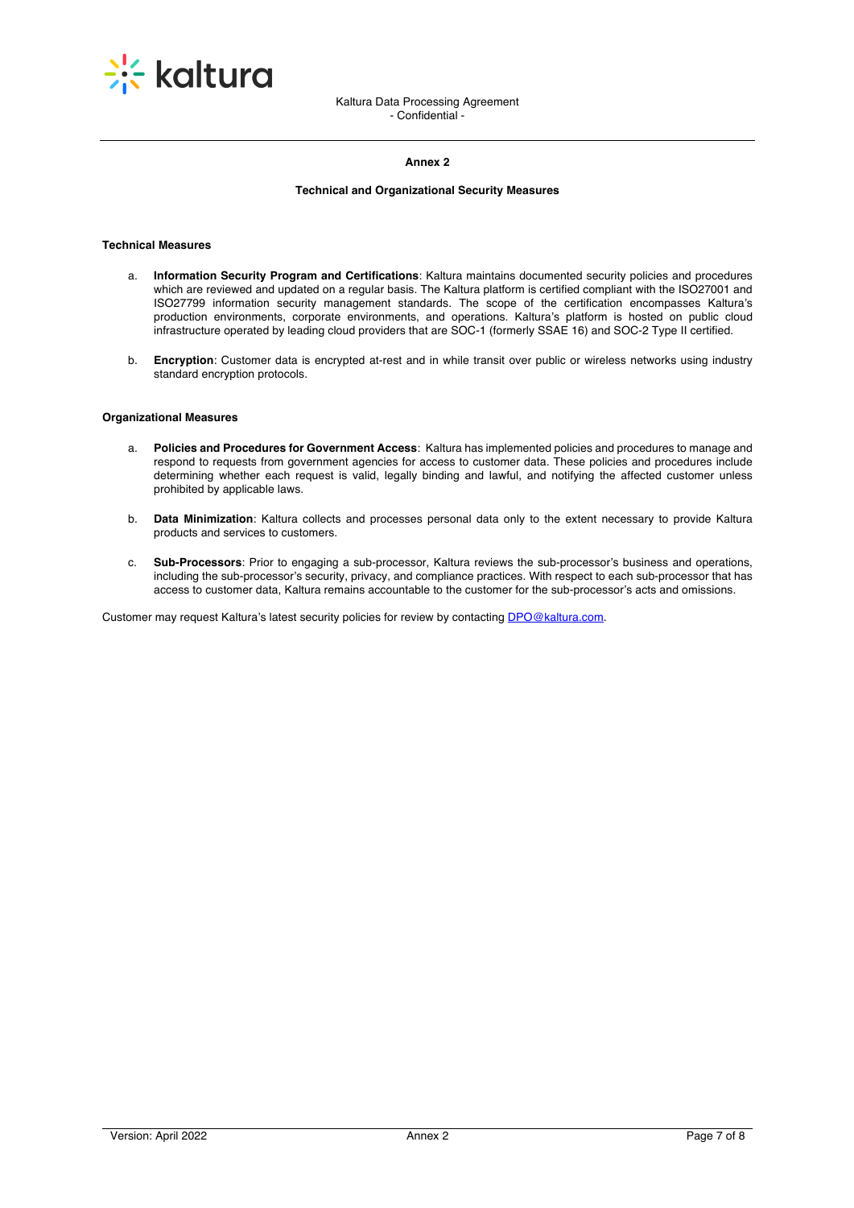

## **Annex 2**

# **Technical and Organizational Security Measures**

## **Technical Measures**

- a. **Information Security Program and Certifications**: Kaltura maintains documented security policies and procedures which are reviewed and updated on a regular basis. The Kaltura platform is certified compliant with the ISO27001 and ISO27799 information security management standards. The scope of the certification encompasses Kaltura's production environments, corporate environments, and operations. Kaltura's platform is hosted on public cloud infrastructure operated by leading cloud providers that are SOC-1 (formerly SSAE 16) and SOC-2 Type II certified.
- b. **Encryption**: Customer data is encrypted at-rest and in while transit over public or wireless networks using industry standard encryption protocols.

# **Organizational Measures**

- a. **Policies and Procedures for Government Access**: Kaltura has implemented policies and procedures to manage and respond to requests from government agencies for access to customer data. These policies and procedures include determining whether each request is valid, legally binding and lawful, and notifying the affected customer unless prohibited by applicable laws.
- b. **Data Minimization**: Kaltura collects and processes personal data only to the extent necessary to provide Kaltura products and services to customers.
- c. **Sub-Processors**: Prior to engaging a sub-processor, Kaltura reviews the sub-processor's business and operations, including the sub-processor's security, privacy, and compliance practices. With respect to each sub-processor that has access to customer data, Kaltura remains accountable to the customer for the sub-processor's acts and omissions.

Customer may request Kaltura's latest security policies for review by contacting DPO@kaltura.com.